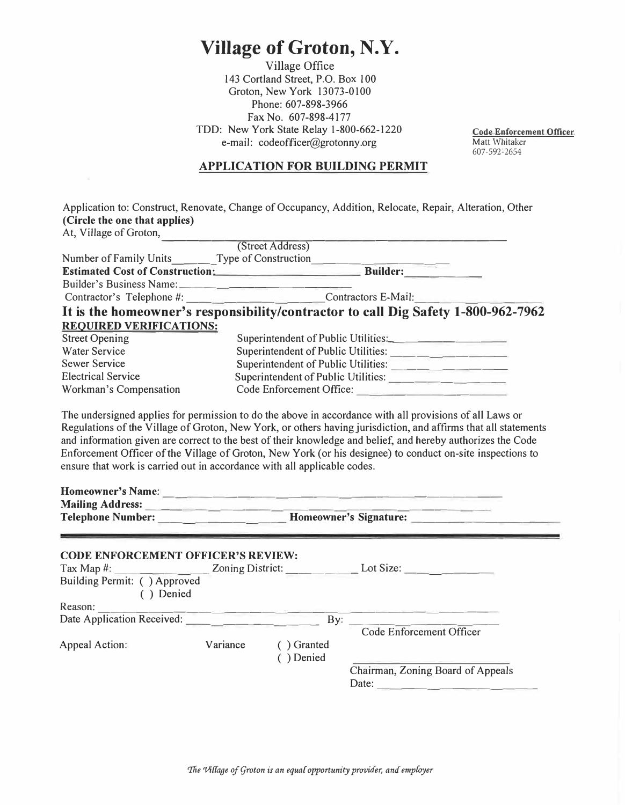## **Village of Groton, N.Y.**

Village Office 143 Cortland Street, P.O. Box 100 Groton, New York 13073-0100 Phone: 607-898-3966 Fax No. 607-898-4177 TDD: New York State Relay l-800-662-1220 e-mail: codeofficer@grotonny.org

**Code Enforcement Officer**  Matt Whitaker 607-592-2654

## **APPLICATION FOR BUILDING PERMIT**

|                                                                                         | Application to: Construct, Renovate, Change of Occupancy, Addition, Relocate, Repair, Alteration, Other                                                                                                                                                                                                                                                                                                                 |  |  |
|-----------------------------------------------------------------------------------------|-------------------------------------------------------------------------------------------------------------------------------------------------------------------------------------------------------------------------------------------------------------------------------------------------------------------------------------------------------------------------------------------------------------------------|--|--|
| (Circle the one that applies)                                                           |                                                                                                                                                                                                                                                                                                                                                                                                                         |  |  |
| At, Village of Groton,                                                                  |                                                                                                                                                                                                                                                                                                                                                                                                                         |  |  |
|                                                                                         | (Street Address)                                                                                                                                                                                                                                                                                                                                                                                                        |  |  |
|                                                                                         |                                                                                                                                                                                                                                                                                                                                                                                                                         |  |  |
|                                                                                         |                                                                                                                                                                                                                                                                                                                                                                                                                         |  |  |
|                                                                                         |                                                                                                                                                                                                                                                                                                                                                                                                                         |  |  |
|                                                                                         | Contractor's Telephone #: Contractors E-Mail:                                                                                                                                                                                                                                                                                                                                                                           |  |  |
|                                                                                         | It is the homeowner's responsibility/contractor to call Dig Safety 1-800-962-7962                                                                                                                                                                                                                                                                                                                                       |  |  |
| <b>REQUIRED VERIFICATIONS:</b>                                                          |                                                                                                                                                                                                                                                                                                                                                                                                                         |  |  |
| <b>Street Opening</b>                                                                   | Superintendent of Public Utilities:                                                                                                                                                                                                                                                                                                                                                                                     |  |  |
| <b>Water Service</b>                                                                    |                                                                                                                                                                                                                                                                                                                                                                                                                         |  |  |
| <b>Sewer Service</b>                                                                    |                                                                                                                                                                                                                                                                                                                                                                                                                         |  |  |
| <b>Electrical Service</b>                                                               | Superintendent of Public Utilities:                                                                                                                                                                                                                                                                                                                                                                                     |  |  |
| Workman's Compensation                                                                  | Code Enforcement Office:                                                                                                                                                                                                                                                                                                                                                                                                |  |  |
|                                                                                         | Regulations of the Village of Groton, New York, or others having jurisdiction, and affirms that all statements<br>and information given are correct to the best of their knowledge and belief, and hereby authorizes the Code<br>Enforcement Officer of the Village of Groton, New York (or his designee) to conduct on-site inspections to<br>ensure that work is carried out in accordance with all applicable codes. |  |  |
|                                                                                         |                                                                                                                                                                                                                                                                                                                                                                                                                         |  |  |
| <b>CODE ENFORCEMENT OFFICER'S REVIEW:</b><br>Building Permit: () Approved<br>( ) Denied |                                                                                                                                                                                                                                                                                                                                                                                                                         |  |  |
|                                                                                         | contractions are the stationary of change                                                                                                                                                                                                                                                                                                                                                                               |  |  |
| Reason:<br>Date Application Received:                                                   | By:                                                                                                                                                                                                                                                                                                                                                                                                                     |  |  |
| Appeal Action:                                                                          | Code Enforcement Officer<br>Variance<br>() Granted<br>() Denied<br>Chairman, Zoning Board of Appeals                                                                                                                                                                                                                                                                                                                    |  |  |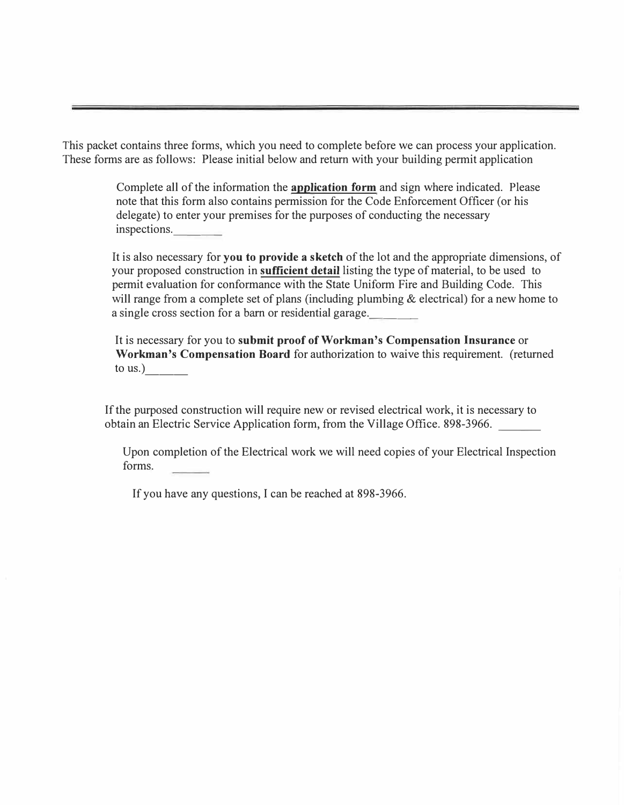This packet contains three forms, which you need to complete before we can process your application. These forms are as follows: Please initial below and return with your building permit application

> Complete all of the information the **application form** and sign where indicated. Please note that this form also contains permission for the Code Enforcement Officer ( or his delegate) to enter your premises for the purposes of conducting the necessary inspections.

It is also necessary for **you** to **provide a sketch** of the lot and the appropriate dimensions, of your proposed construction in **sufficient detail** listing the type of material, to be used to permit evaluation for conformance with the State Uniform Fire and Building Code. This will range from a complete set of plans (including plumbing & electrical) for a new home to a single cross section for a barn or residential garage.

It is necessary for you to **submit proof of Workman's Compensation Insurance** or **Workman's Compensation Board** for authorization to waive this requirement. (returned to us.)

If the purposed construction will require new or revised electrical work, it is necessary to obtain an Electric Service Application form, from the Village Office. 898-3966.

Upon completion of the Electrical work we will need copies of your Electrical Inspection forms.

If you have any questions, I can be reached at 898-3966.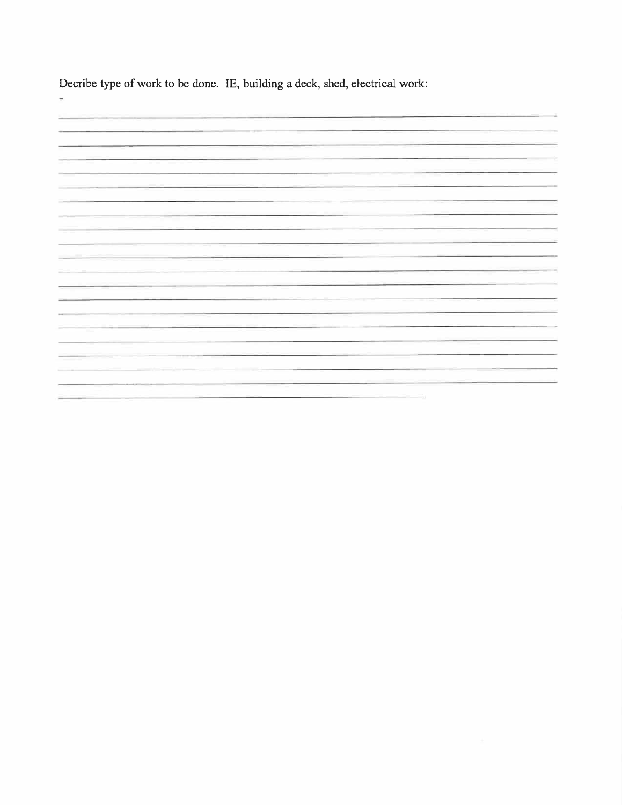Decribe type of work to be done. IE, building a deck, shed, electrical work:

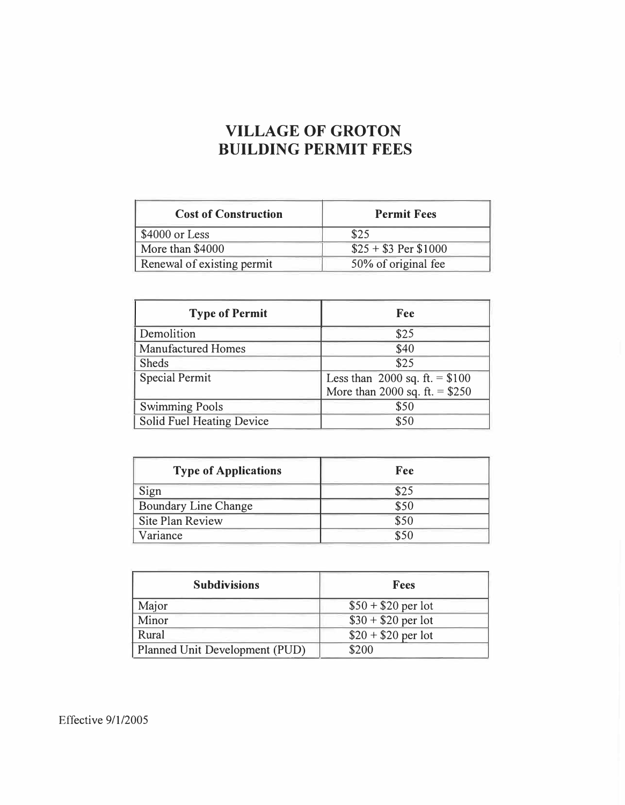## **VILLAGE OF GROTON BUILDING PERMIT FEES**

| <b>Cost of Construction</b> | <b>Permit Fees</b>    |
|-----------------------------|-----------------------|
| \$4000 or Less              | \$25                  |
| More than \$4000            | $$25 + $3$ Per \$1000 |
| Renewal of existing permit  | 50% of original fee   |

| <b>Type of Permit</b>     | Fee                             |
|---------------------------|---------------------------------|
| Demolition                | \$25                            |
| <b>Manufactured Homes</b> | \$40                            |
| <b>Sheds</b>              | \$25                            |
| <b>Special Permit</b>     | Less than 2000 sq. ft. $= $100$ |
|                           | More than 2000 sq. ft. = $$250$ |
| <b>Swimming Pools</b>     | \$50                            |
| Solid Fuel Heating Device | \$50                            |

| <b>Type of Applications</b> | Fee  |
|-----------------------------|------|
| Sign                        | \$25 |
| <b>Boundary Line Change</b> | \$50 |
| <b>Site Plan Review</b>     | \$50 |
| Variance                    | \$50 |

| <b>Subdivisions</b>            | <b>Fees</b>         |
|--------------------------------|---------------------|
| Major                          | $$50 + $20$ per lot |
| Minor                          | $$30 + $20$ per lot |
| Rural                          | $$20 + $20$ per lot |
| Planned Unit Development (PUD) | \$200               |

Effective 9/1/2005